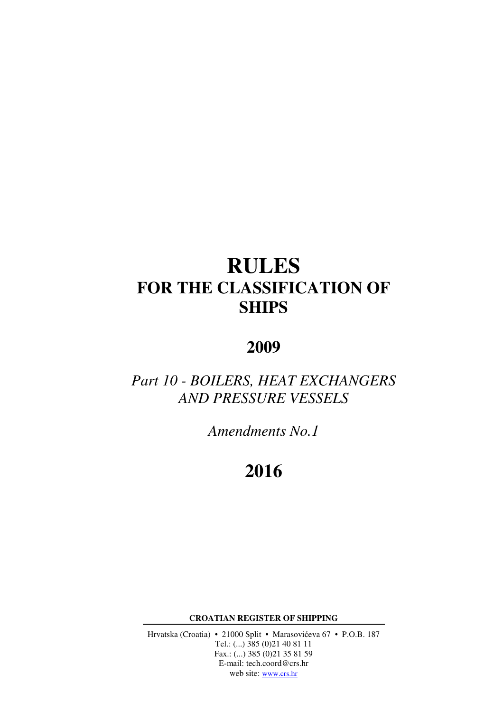# **RULES FOR THE CLASSIFICATION OF SHIPS**

## **2009**

## *Part 10 - BOILERS, HEAT EXCHANGERS AND PRESSURE VESSELS*

*Amendments No.1* 

## **2016**

**CROATIAN REGISTER OF SHIPPING** 

Hrvatska (Croatia) • 21000 Split • Marasovićeva 67 • P.O.B. 187 Tel.: (...) 385 (0)21 40 81 11 Fax.: (...) 385 (0)21 35 81 59 E-mail: tech.coord@crs.hr web site: www.crs.hr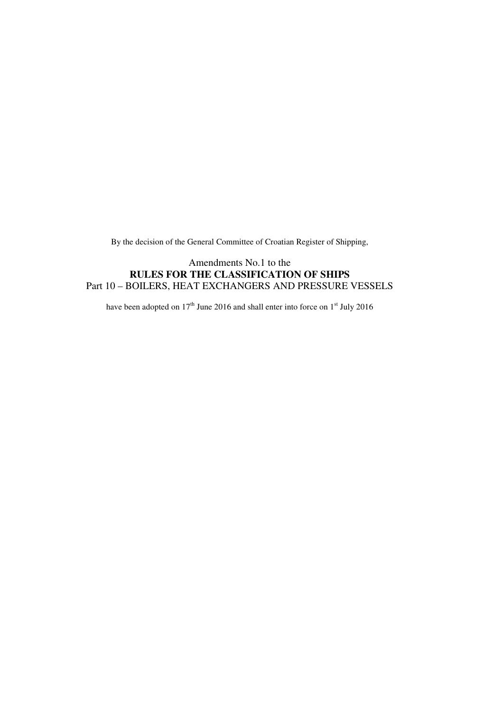By the decision of the General Committee of Croatian Register of Shipping,

### Amendments No.1 to the **RULES FOR THE CLASSIFICATION OF SHIPS** Part 10 – BOILERS, HEAT EXCHANGERS AND PRESSURE VESSELS

have been adopted on  $17<sup>th</sup>$  June 2016 and shall enter into force on  $1<sup>st</sup>$  July 2016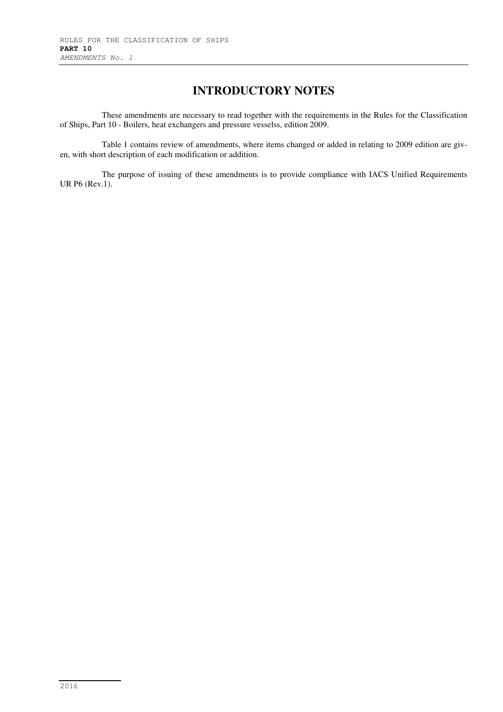### **INTRODUCTORY NOTES**

These amendments are necessary to read together with the requirements in the Rules for the Classification of Ships, Part 10 - Boilers, heat exchangers and pressure vesselss, edition 2009.

Table 1 contains review of amendments, where items changed or added in relating to 2009 edition are given, with short description of each modification or addition.

The purpose of issuing of these amendments is to provide compliance with IACS Unified Requirements UR P6 (Rev.1).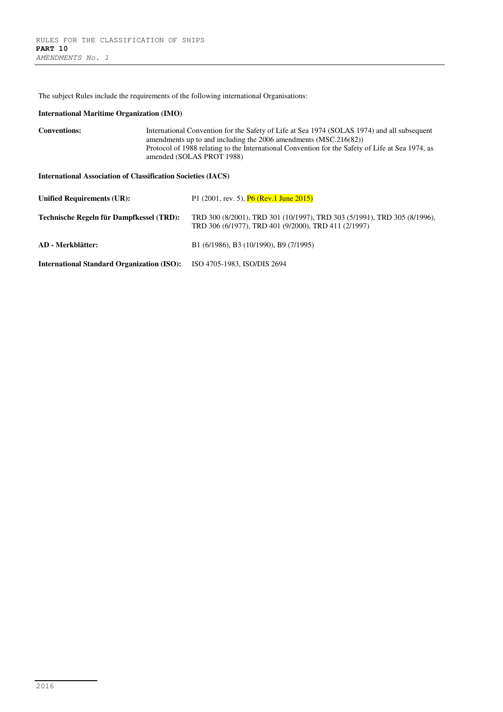The subject Rules include the requirements of the following international Organisations:

#### **International Maritime Organization (IMO)**

```
Conventions: International Convention for the Safety of Life at Sea 1974 (SOLAS 1974) and all subsequent 
                   amendments up to and including the 2006 amendments (MSC.216(82)) 
                   Protocol of 1988 relating to the International Convention for the Safety of Life at Sea 1974, as 
                   amended (SOLAS PROT 1988)
```
**International Association of Classification Societies (IACS)** 

| <b>Unified Requirements (UR):</b>                 | P1 $(2001, \text{rev. } 5)$ , $\overline{P6}$ (Rev.1 June 2015)                                                                  |
|---------------------------------------------------|----------------------------------------------------------------------------------------------------------------------------------|
| Technische Regeln für Dampfkessel (TRD):          | TRD 300 (8/2001), TRD 301 (10/1997), TRD 303 (5/1991), TRD 305 (8/1996),<br>TRD 306 (6/1977), TRD 401 (9/2000), TRD 411 (2/1997) |
| AD - Merkblätter:                                 | B1 (6/1986), B3 (10/1990), B9 (7/1995)                                                                                           |
| <b>International Standard Organization (ISO):</b> | ISO 4705-1983, ISO/DIS 2694                                                                                                      |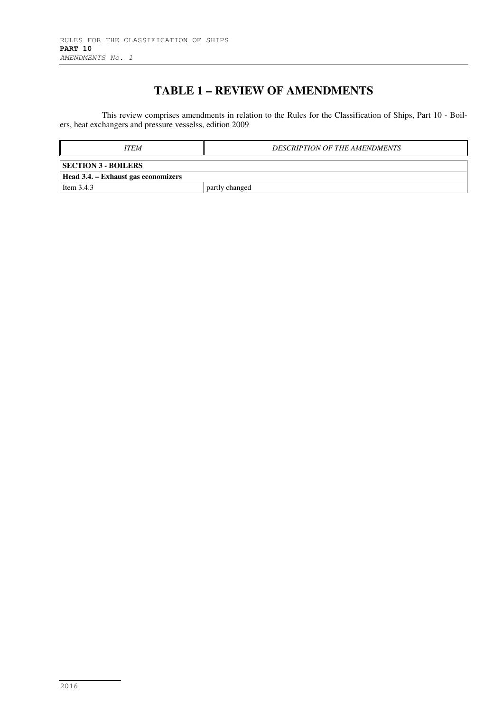## **TABLE 1 – REVIEW OF AMENDMENTS**

This review comprises amendments in relation to the Rules for the Classification of Ships, Part 10 - Boilers, heat exchangers and pressure vesselss, edition 2009

| <b>ITEM</b>                         | <b>DESCRIPTION OF THE AMENDMENTS</b> |
|-------------------------------------|--------------------------------------|
| <b>SECTION 3 - BOILERS</b>          |                                      |
| Head 3.4. – Exhaust gas economizers |                                      |
| Item $3.4.3$                        | partly changed                       |